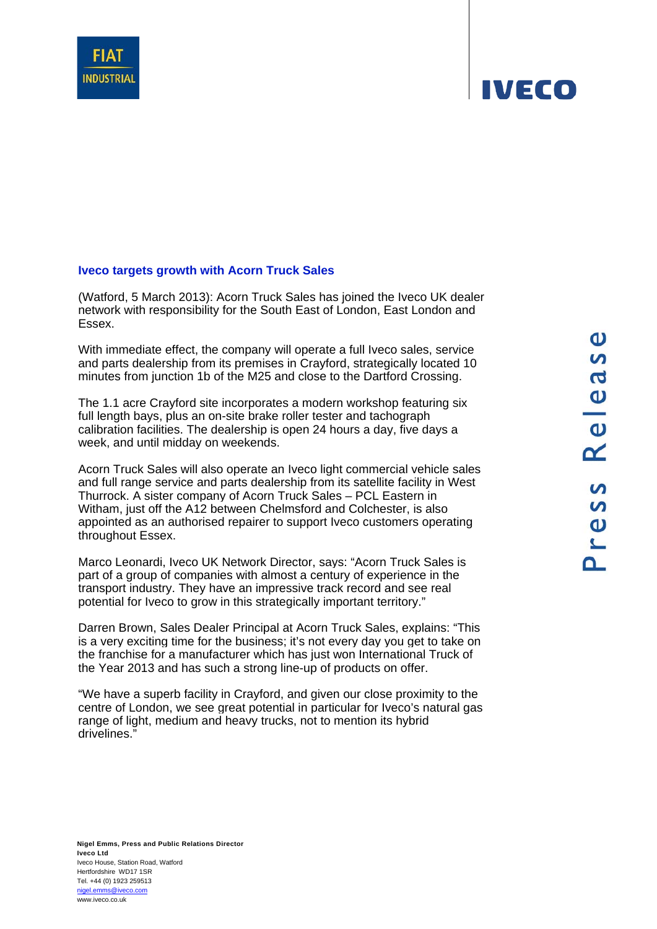## **Iveco targets growth with Acorn Truck Sales**

(Watford, 5 March 2013): Acorn Truck Sales has joined the Iveco UK dealer network with responsibility for the South East of London, East London and Essex.

With immediate effect, the company will operate a full Iveco sales, service and parts dealership from its premises in Crayford, strategically located 10 minutes from junction 1b of the M25 and close to the Dartford Crossing.

The 1.1 acre Crayford site incorporates a modern workshop featuring six full length bays, plus an on-site brake roller tester and tachograph calibration facilities. The dealership is open 24 hours a day, five days a week, and until midday on weekends.

Acorn Truck Sales will also operate an Iveco light commercial vehicle sales and full range service and parts dealership from its satellite facility in West Thurrock. A sister company of Acorn Truck Sales – PCL Eastern in Witham, just off the A12 between Chelmsford and Colchester, is also appointed as an authorised repairer to support Iveco customers operating throughout Essex.

Marco Leonardi, Iveco UK Network Director, says: "Acorn Truck Sales is part of a group of companies with almost a century of experience in the transport industry. They have an impressive track record and see real potential for Iveco to grow in this strategically important territory."

Darren Brown, Sales Dealer Principal at Acorn Truck Sales, explains: "This is a very exciting time for the business; it's not every day you get to take on the franchise for a manufacturer which has just won International Truck of the Year 2013 and has such a strong line-up of products on offer.

"We have a superb facility in Crayford, and given our close proximity to the centre of London, we see great potential in particular for Iveco's natural gas range of light, medium and heavy trucks, not to mention its hybrid drivelines."